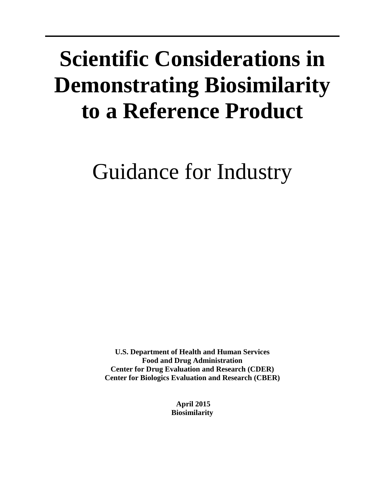## **Scientific Considerations in Demonstrating Biosimilarity to a Reference Product**

Guidance for Industry

**U.S. Department of Health and Human Services Food and Drug Administration Center for Drug Evaluation and Research (CDER) Center for Biologics Evaluation and Research (CBER)**

> **April 2015 Biosimilarity**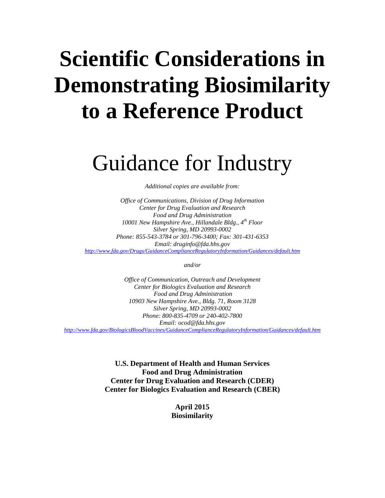# **Scientific Considerations in Demonstrating Biosimilarity to a Reference Product**

## Guidance for Industry

*Additional copies are available from:*

*Office of Communications, Division of Drug Information Center for Drug Evaluation and Research Food and Drug Administration 10001 New Hampshire Ave., Hillandale Bldg., 4th Floor Silver Spring, MD 20993-0002 Phone: 855-543-3784 or 301-796-3400; Fax: 301-431-6353 Email: druginfo@fda.hhs.gov <http://www.fda.gov/Drugs/GuidanceComplianceRegulatoryInformation/Guidances/default.htm>*

*and/or*

*Office of Communication, Outreach and Development Center for Biologics Evaluation and Research Food and Drug Administration 10903 New Hampshire Ave., Bldg. 71, Room 3128 Silver Spring, MD 20993-0002 Phone: 800-835-4709 or 240-402-7800 Email: ocod@fda.hhs.gov <http://www.fda.gov/BiologicsBloodVaccines/GuidanceComplianceRegulatoryInformation/Guidances/default.htm>* 

**U.S. Department of Health and Human Services Food and Drug Administration Center for Drug Evaluation and Research (CDER) Center for Biologics Evaluation and Research (CBER)**

> **April 2015 Biosimilarity**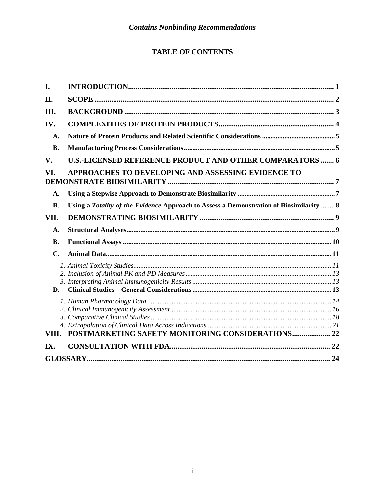## **TABLE OF CONTENTS**

| I.        |                                                                                         |  |
|-----------|-----------------------------------------------------------------------------------------|--|
| II.       |                                                                                         |  |
| III.      |                                                                                         |  |
| IV.       |                                                                                         |  |
| A.        |                                                                                         |  |
| <b>B.</b> |                                                                                         |  |
| V.        | <b>U.S.-LICENSED REFERENCE PRODUCT AND OTHER COMPARATORS  6</b>                         |  |
| VI.       | APPROACHES TO DEVELOPING AND ASSESSING EVIDENCE TO                                      |  |
| A.        |                                                                                         |  |
| <b>B.</b> | Using a Totality-of-the-Evidence Approach to Assess a Demonstration of Biosimilarity  8 |  |
| VII.      |                                                                                         |  |
|           |                                                                                         |  |
| A.        |                                                                                         |  |
| <b>B.</b> |                                                                                         |  |
| C.        |                                                                                         |  |
| D.        |                                                                                         |  |
| VIII.     | POSTMARKETING SAFETY MONITORING CONSIDERATIONS 22                                       |  |
| IX.       |                                                                                         |  |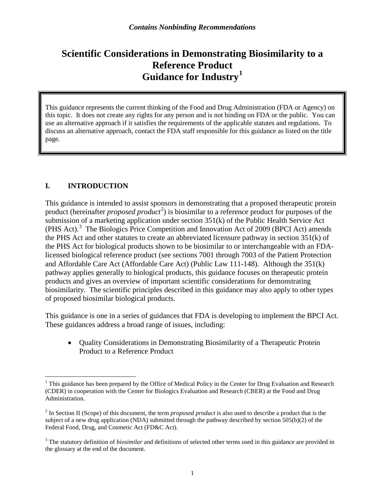## **Scientific Considerations in Demonstrating Biosimilarity to a Reference Product Guidance for Industry[1](#page-3-0)**

This guidance represents the current thinking of the Food and Drug Administration (FDA or Agency) on this topic. It does not create any rights for any person and is not binding on FDA or the public. You can use an alternative approach if it satisfies the requirements of the applicable statutes and regulations. To discuss an alternative approach, contact the FDA staff responsible for this guidance as listed on the title page.

## **I. INTRODUCTION**

This guidance is intended to assist sponsors in demonstrating that a proposed therapeutic protein product (hereinafter *proposed product<sup>[2](#page-3-1)</sup>*) is biosimilar to a reference product for purposes of the submission of a marketing application under section 351(k) of the Public Health Service Act (PHS Act).<sup>[3](#page-3-2)</sup> The Biologics Price Competition and Innovation Act of 2009 (BPCI Act) amends the PHS Act and other statutes to create an abbreviated licensure pathway in section 351(k) of the PHS Act for biological products shown to be biosimilar to or interchangeable with an FDAlicensed biological reference product (see sections 7001 through 7003 of the Patient Protection and Affordable Care Act (Affordable Care Act) (Public Law 111-148). Although the 351(k) pathway applies generally to biological products, this guidance focuses on therapeutic protein products and gives an overview of important scientific considerations for demonstrating biosimilarity. The scientific principles described in this guidance may also apply to other types of proposed biosimilar biological products.

This guidance is one in a series of guidances that FDA is developing to implement the BPCI Act. These guidances address a broad range of issues, including:

• Quality Considerations in Demonstrating Biosimilarity of a Therapeutic Protein Product to a Reference Product

<span id="page-3-0"></span> $1$  This guidance has been prepared by the Office of Medical Policy in the Center for Drug Evaluation and Research (CDER) in cooperation with the Center for Biologics Evaluation and Research (CBER) at the Food and Drug Administration.

<span id="page-3-1"></span><sup>2</sup> In Section II (Scope) of this document, the term *proposed product* is also used to describe a product that is the subject of a new drug application (NDA) submitted through the pathway described by section 505(b)(2) of the Federal Food, Drug, and Cosmetic Act (FD&C Act).

<span id="page-3-2"></span><sup>3</sup> The statutory definition of *biosimilar* and definitions of selected other terms used in this guidance are provided in the glossary at the end of the document.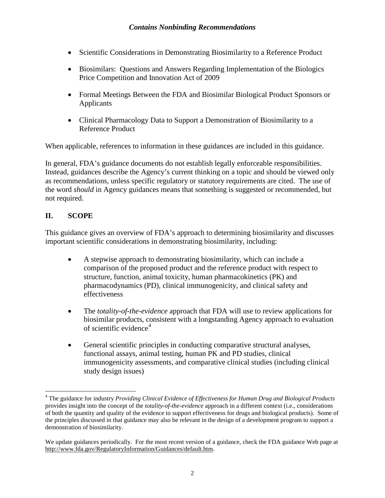- Scientific Considerations in Demonstrating Biosimilarity to a Reference Product
- Biosimilars: Questions and Answers Regarding Implementation of the Biologics Price Competition and Innovation Act of 2009
- Formal Meetings Between the FDA and Biosimilar Biological Product Sponsors or Applicants
- Clinical Pharmacology Data to Support a Demonstration of Biosimilarity to a Reference Product

When applicable, references to information in these guidances are included in this guidance.

In general, FDA's guidance documents do not establish legally enforceable responsibilities. Instead, guidances describe the Agency's current thinking on a topic and should be viewed only as recommendations, unless specific regulatory or statutory requirements are cited. The use of the word *should* in Agency guidances means that something is suggested or recommended, but not required.

#### **II. SCOPE**

This guidance gives an overview of FDA's approach to determining biosimilarity and discusses important scientific considerations in demonstrating biosimilarity, including:

- A stepwise approach to demonstrating biosimilarity, which can include a comparison of the proposed product and the reference product with respect to structure, function, animal toxicity, human pharmacokinetics (PK) and pharmacodynamics (PD), clinical immunogenicity, and clinical safety and effectiveness
- The *totality-of-the-evidence* approach that FDA will use to review applications for biosimilar products, consistent with a longstanding Agency approach to evaluation of scientific evidence $4$
- General scientific principles in conducting comparative structural analyses, functional assays, animal testing, human PK and PD studies, clinical immunogenicity assessments, and comparative clinical studies (including clinical study design issues)

<span id="page-4-0"></span> <sup>4</sup> The guidance for industry *Providing Clinical Evidence of Effectiveness for Human Drug and Biological Products* provides insight into the concept of the *totality-of-the-evidence* approach in a different context (i.e., considerations of both the quantity and quality of the evidence to support effectiveness for drugs and biological products). Some of the principles discussed in that guidance may also be relevant in the design of a development program to support a demonstration of biosimilarity.

We update guidances periodically. For the most recent version of a guidance, check the FDA guidance Web page at [http://www.fda.gov/RegulatoryInformation/Guidances/default.htm.](http://www.fda.gov/RegulatoryInformation/Guidances/default.htm)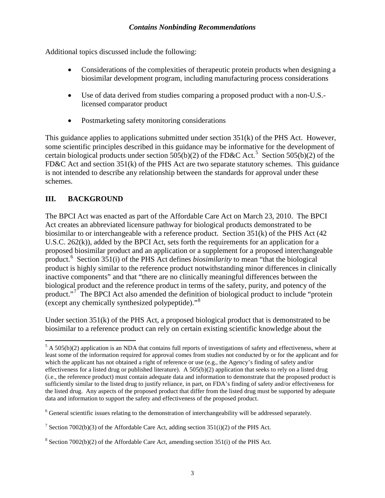Additional topics discussed include the following:

- Considerations of the complexities of therapeutic protein products when designing a biosimilar development program, including manufacturing process considerations
- Use of data derived from studies comparing a proposed product with a non-U.S. licensed comparator product
- Postmarketing safety monitoring considerations

This guidance applies to applications submitted under section 351(k) of the PHS Act. However, some scientific principles described in this guidance may be informative for the development of certain biological products under section  $505(b)(2)$  $505(b)(2)$  of the FD&C Act.<sup>5</sup> Section  $505(b)(2)$  of the FD&C Act and section 351(k) of the PHS Act are two separate statutory schemes. This guidance is not intended to describe any relationship between the standards for approval under these schemes.

## **III. BACKGROUND**

The BPCI Act was enacted as part of the Affordable Care Act on March 23, 2010. The BPCI Act creates an abbreviated licensure pathway for biological products demonstrated to be biosimilar to or interchangeable with a reference product. Section 351(k) of the PHS Act (42 U.S.C. 262(k)), added by the BPCI Act, sets forth the requirements for an application for a proposed biosimilar product and an application or a supplement for a proposed interchangeable product.<sup>[6](#page-5-1)</sup> Section 351(i) of the PHS Act defines *biosimilarity* to mean "that the biological product is highly similar to the reference product notwithstanding minor differences in clinically inactive components" and that "there are no clinically meaningful differences between the biological product and the reference product in terms of the safety, purity, and potency of the product."<sup>[7](#page-5-2)</sup> The BPCI Act also amended the definition of biological product to include "protein (except any chemically synthesized polypeptide)."[8](#page-5-3)

Under section 351(k) of the PHS Act, a proposed biological product that is demonstrated to be biosimilar to a reference product can rely on certain existing scientific knowledge about the

<span id="page-5-0"></span> $5$  A 505(b)(2) application is an NDA that contains full reports of investigations of safety and effectiveness, where at least some of the information required for approval comes from studies not conducted by or for the applicant and for which the applicant has not obtained a right of reference or use (e.g., the Agency's finding of safety and/or effectiveness for a listed drug or published literature). A  $505(b)(2)$  application that seeks to rely on a listed drug (i.e., the reference product) must contain adequate data and information to demonstrate that the proposed product is sufficiently similar to the listed drug to justify reliance, in part, on FDA's finding of safety and/or effectiveness for the listed drug. Any aspects of the proposed product that differ from the listed drug must be supported by adequate data and information to support the safety and effectiveness of the proposed product.

<span id="page-5-1"></span><sup>6</sup> General scientific issues relating to the demonstration of interchangeability will be addressed separately.

<span id="page-5-2"></span><sup>&</sup>lt;sup>7</sup> Section 7002(b)(3) of the Affordable Care Act, adding section 351(i)(2) of the PHS Act.

<span id="page-5-3"></span> $8$  Section 7002(b)(2) of the Affordable Care Act, amending section 351(i) of the PHS Act.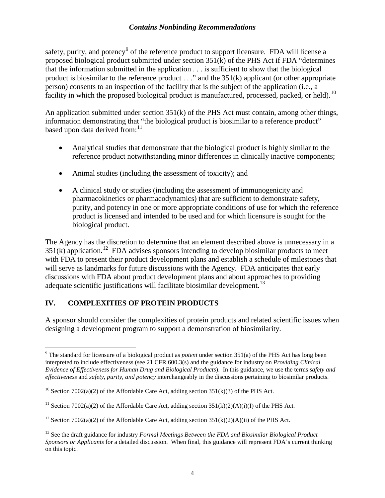safety, purity, and potency<sup>[9](#page-6-0)</sup> of the reference product to support licensure. FDA will license a proposed biological product submitted under section 351(k) of the PHS Act if FDA "determines that the information submitted in the application . . . is sufficient to show that the biological product is biosimilar to the reference product  $\dots$ " and the 351 $(k)$  applicant (or other appropriate person) consents to an inspection of the facility that is the subject of the application (i.e., a facility in which the proposed biological product is manufactured, processed, packed, or held).<sup>10</sup>

An application submitted under section 351(k) of the PHS Act must contain, among other things, information demonstrating that "the biological product is biosimilar to a reference product" based upon data derived from: $^{11}$  $^{11}$  $^{11}$ 

- Analytical studies that demonstrate that the biological product is highly similar to the reference product notwithstanding minor differences in clinically inactive components;
- Animal studies (including the assessment of toxicity); and
- A clinical study or studies (including the assessment of immunogenicity and pharmacokinetics or pharmacodynamics) that are sufficient to demonstrate safety, purity, and potency in one or more appropriate conditions of use for which the reference product is licensed and intended to be used and for which licensure is sought for the biological product.

The Agency has the discretion to determine that an element described above is unnecessary in a  $351(k)$  application.<sup>12</sup> FDA advises sponsors intending to develop biosimilar products to meet with FDA to present their product development plans and establish a schedule of milestones that will serve as landmarks for future discussions with the Agency. FDA anticipates that early discussions with FDA about product development plans and about approaches to providing adequate scientific justifications will facilitate biosimilar development.<sup>[13](#page-6-4)</sup>

#### **IV. COMPLEXITIES OF PROTEIN PRODUCTS**

A sponsor should consider the complexities of protein products and related scientific issues when designing a development program to support a demonstration of biosimilarity.

<span id="page-6-0"></span> <sup>9</sup> The standard for licensure of a biological product as *potent* under section 351(a) of the PHS Act has long been interpreted to include effectiveness (see 21 CFR 600.3(s) and the guidance for industry on *Providing Clinical Evidence of Effectiveness for Human Drug and Biological Products*). In this guidance, we use the terms *safety and effectiveness* and *safety, purity, and potency* interchangeably in the discussions pertaining to biosimilar products.

<span id="page-6-1"></span><sup>&</sup>lt;sup>10</sup> Section 7002(a)(2) of the Affordable Care Act, adding section 351(k)(3) of the PHS Act.

<span id="page-6-2"></span><sup>&</sup>lt;sup>11</sup> Section 7002(a)(2) of the Affordable Care Act, adding section  $351(k)(2)(A)(i)(I)$  of the PHS Act.

<span id="page-6-3"></span><sup>&</sup>lt;sup>12</sup> Section 7002(a)(2) of the Affordable Care Act, adding section  $351(k)(2)(A)(ii)$  of the PHS Act.

<span id="page-6-4"></span><sup>13</sup> See the draft guidance for industry *Formal Meetings Between the FDA and Biosimilar Biological Product Sponsors or Applicants* for a detailed discussion. When final, this guidance will represent FDA's current thinking on this topic.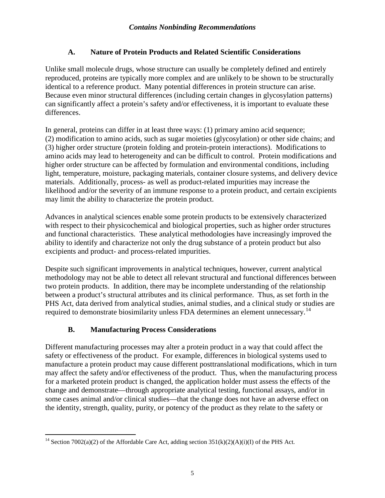## **A. Nature of Protein Products and Related Scientific Considerations**

Unlike small molecule drugs, whose structure can usually be completely defined and entirely reproduced, proteins are typically more complex and are unlikely to be shown to be structurally identical to a reference product. Many potential differences in protein structure can arise. Because even minor structural differences (including certain changes in glycosylation patterns) can significantly affect a protein's safety and/or effectiveness, it is important to evaluate these differences.

In general, proteins can differ in at least three ways: (1) primary amino acid sequence; (2) modification to amino acids, such as sugar moieties (glycosylation) or other side chains; and (3) higher order structure (protein folding and protein-protein interactions). Modifications to amino acids may lead to heterogeneity and can be difficult to control. Protein modifications and higher order structure can be affected by formulation and environmental conditions, including light, temperature, moisture, packaging materials, container closure systems, and delivery device materials. Additionally, process- as well as product-related impurities may increase the likelihood and/or the severity of an immune response to a protein product, and certain excipients may limit the ability to characterize the protein product.

Advances in analytical sciences enable some protein products to be extensively characterized with respect to their physicochemical and biological properties, such as higher order structures and functional characteristics. These analytical methodologies have increasingly improved the ability to identify and characterize not only the drug substance of a protein product but also excipients and product- and process-related impurities.

Despite such significant improvements in analytical techniques, however, current analytical methodology may not be able to detect all relevant structural and functional differences between two protein products. In addition, there may be incomplete understanding of the relationship between a product's structural attributes and its clinical performance. Thus, as set forth in the PHS Act, data derived from analytical studies, animal studies, and a clinical study or studies are required to demonstrate biosimilarity unless FDA determines an element unnecessary.<sup>[14](#page-7-0)</sup>

## **B. Manufacturing Process Considerations**

Different manufacturing processes may alter a protein product in a way that could affect the safety or effectiveness of the product. For example, differences in biological systems used to manufacture a protein product may cause different posttranslational modifications, which in turn may affect the safety and/or effectiveness of the product. Thus, when the manufacturing process for a marketed protein product is changed, the application holder must assess the effects of the change and demonstrate—through appropriate analytical testing, functional assays, and/or in some cases animal and/or clinical studies—that the change does not have an adverse effect on the identity, strength, quality, purity, or potency of the product as they relate to the safety or

<span id="page-7-0"></span><sup>&</sup>lt;sup>14</sup> Section 7002(a)(2) of the Affordable Care Act, adding section  $351(k)(2)(A)(i)(I)$  of the PHS Act.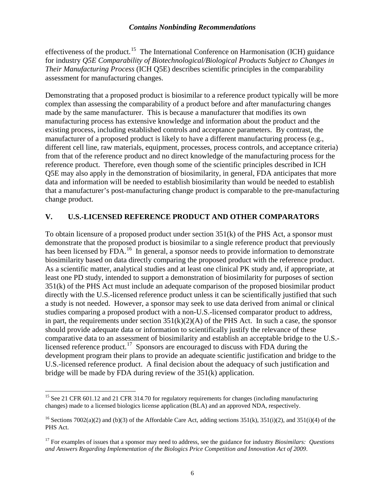effectiveness of the product.<sup>15</sup> The International Conference on Harmonisation (ICH) guidance for industry *Q5E Comparability of Biotechnological/Biological Products Subject to Changes in Their Manufacturing Process* (ICH Q5E) describes scientific principles in the comparability assessment for manufacturing changes.

Demonstrating that a proposed product is biosimilar to a reference product typically will be more complex than assessing the comparability of a product before and after manufacturing changes made by the same manufacturer. This is because a manufacturer that modifies its own manufacturing process has extensive knowledge and information about the product and the existing process, including established controls and acceptance parameters. By contrast, the manufacturer of a proposed product is likely to have a different manufacturing process (e.g., different cell line, raw materials, equipment, processes, process controls, and acceptance criteria) from that of the reference product and no direct knowledge of the manufacturing process for the reference product. Therefore, even though some of the scientific principles described in ICH Q5E may also apply in the demonstration of biosimilarity, in general, FDA anticipates that more data and information will be needed to establish biosimilarity than would be needed to establish that a manufacturer's post-manufacturing change product is comparable to the pre-manufacturing change product.

#### **V. U.S.-LICENSED REFERENCE PRODUCT AND OTHER COMPARATORS**

To obtain licensure of a proposed product under section 351(k) of the PHS Act, a sponsor must demonstrate that the proposed product is biosimilar to a single reference product that previously has been licensed by FDA.<sup>16</sup> In general, a sponsor needs to provide information to demonstrate biosimilarity based on data directly comparing the proposed product with the reference product. As a scientific matter, analytical studies and at least one clinical PK study and, if appropriate, at least one PD study, intended to support a demonstration of biosimilarity for purposes of section 351(k) of the PHS Act must include an adequate comparison of the proposed biosimilar product directly with the U.S.-licensed reference product unless it can be scientifically justified that such a study is not needed. However, a sponsor may seek to use data derived from animal or clinical studies comparing a proposed product with a non-U.S.-licensed comparator product to address, in part, the requirements under section  $351(k)(2)(A)$  of the PHS Act. In such a case, the sponsor should provide adequate data or information to scientifically justify the relevance of these comparative data to an assessment of biosimilarity and establish an acceptable bridge to the U.S.- licensed reference product.<sup>[17](#page-8-2)</sup> Sponsors are encouraged to discuss with FDA during the development program their plans to provide an adequate scientific justification and bridge to the U.S.-licensed reference product. A final decision about the adequacy of such justification and bridge will be made by FDA during review of the 351(k) application.

<span id="page-8-0"></span><sup>&</sup>lt;sup>15</sup> See 21 CFR 601.12 and 21 CFR 314.70 for regulatory requirements for changes (including manufacturing changes) made to a licensed biologics license application (BLA) and an approved NDA, respectively.

<span id="page-8-1"></span><sup>&</sup>lt;sup>16</sup> Sections 7002(a)(2) and (b)(3) of the Affordable Care Act, adding sections  $351(k)$ ,  $351(i)(2)$ , and  $351(i)(4)$  of the PHS Act.

<span id="page-8-2"></span><sup>17</sup> For examples of issues that a sponsor may need to address, see the guidance for industry *Biosimilars: Questions and Answers Regarding Implementation of the Biologics Price Competition and Innovation Act of 2009*.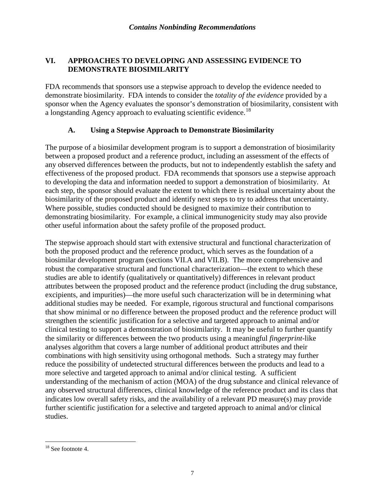#### **VI. APPROACHES TO DEVELOPING AND ASSESSING EVIDENCE TO DEMONSTRATE BIOSIMILARITY**

FDA recommends that sponsors use a stepwise approach to develop the evidence needed to demonstrate biosimilarity. FDA intends to consider the *totality of the evidence* provided by a sponsor when the Agency evaluates the sponsor's demonstration of biosimilarity, consistent with a longstanding Agency approach to evaluating scientific evidence.<sup>[18](#page-9-0)</sup>

#### **A. Using a Stepwise Approach to Demonstrate Biosimilarity**

The purpose of a biosimilar development program is to support a demonstration of biosimilarity between a proposed product and a reference product, including an assessment of the effects of any observed differences between the products, but not to independently establish the safety and effectiveness of the proposed product. FDA recommends that sponsors use a stepwise approach to developing the data and information needed to support a demonstration of biosimilarity. At each step, the sponsor should evaluate the extent to which there is residual uncertainty about the biosimilarity of the proposed product and identify next steps to try to address that uncertainty. Where possible, studies conducted should be designed to maximize their contribution to demonstrating biosimilarity. For example, a clinical immunogenicity study may also provide other useful information about the safety profile of the proposed product.

The stepwise approach should start with extensive structural and functional characterization of both the proposed product and the reference product, which serves as the foundation of a biosimilar development program (sections VII.A and VII.B). The more comprehensive and robust the comparative structural and functional characterization—the extent to which these studies are able to identify (qualitatively or quantitatively) differences in relevant product attributes between the proposed product and the reference product (including the drug substance, excipients, and impurities)—the more useful such characterization will be in determining what additional studies may be needed. For example, rigorous structural and functional comparisons that show minimal or no difference between the proposed product and the reference product will strengthen the scientific justification for a selective and targeted approach to animal and/or clinical testing to support a demonstration of biosimilarity. It may be useful to further quantify the similarity or differences between the two products using a meaningful *fingerprint*-like analyses algorithm that covers a large number of additional product attributes and their combinations with high sensitivity using orthogonal methods. Such a strategy may further reduce the possibility of undetected structural differences between the products and lead to a more selective and targeted approach to animal and/or clinical testing. A sufficient understanding of the mechanism of action (MOA) of the drug substance and clinical relevance of any observed structural differences, clinical knowledge of the reference product and its class that indicates low overall safety risks, and the availability of a relevant PD measure(s) may provide further scientific justification for a selective and targeted approach to animal and/or clinical studies.

<span id="page-9-0"></span><sup>&</sup>lt;sup>18</sup> See footnote 4.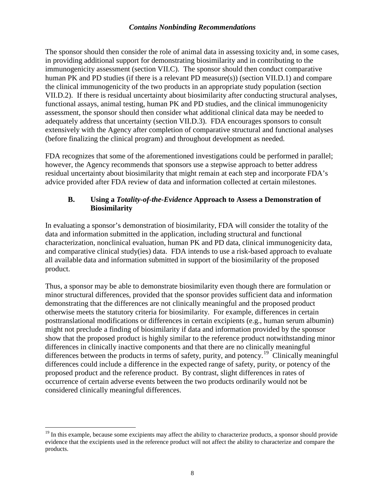The sponsor should then consider the role of animal data in assessing toxicity and, in some cases, in providing additional support for demonstrating biosimilarity and in contributing to the immunogenicity assessment (section VII.C). The sponsor should then conduct comparative human PK and PD studies (if there is a relevant PD measure(s)) (section VII.D.1) and compare the clinical immunogenicity of the two products in an appropriate study population (section VII.D.2). If there is residual uncertainty about biosimilarity after conducting structural analyses, functional assays, animal testing, human PK and PD studies, and the clinical immunogenicity assessment, the sponsor should then consider what additional clinical data may be needed to adequately address that uncertainty (section VII.D.3). FDA encourages sponsors to consult extensively with the Agency after completion of comparative structural and functional analyses (before finalizing the clinical program) and throughout development as needed.

FDA recognizes that some of the aforementioned investigations could be performed in parallel; however, the Agency recommends that sponsors use a stepwise approach to better address residual uncertainty about biosimilarity that might remain at each step and incorporate FDA's advice provided after FDA review of data and information collected at certain milestones.

#### **B. Using a** *Totality-of-the-Evidence* **Approach to Assess a Demonstration of Biosimilarity**

In evaluating a sponsor's demonstration of biosimilarity, FDA will consider the totality of the data and information submitted in the application, including structural and functional characterization, nonclinical evaluation, human PK and PD data, clinical immunogenicity data, and comparative clinical study(ies) data. FDA intends to use a risk-based approach to evaluate all available data and information submitted in support of the biosimilarity of the proposed product.

Thus, a sponsor may be able to demonstrate biosimilarity even though there are formulation or minor structural differences, provided that the sponsor provides sufficient data and information demonstrating that the differences are not clinically meaningful and the proposed product otherwise meets the statutory criteria for biosimilarity. For example, differences in certain posttranslational modifications or differences in certain excipients (e.g., human serum albumin) might not preclude a finding of biosimilarity if data and information provided by the sponsor show that the proposed product is highly similar to the reference product notwithstanding minor differences in clinically inactive components and that there are no clinically meaningful differences between the products in terms of safety, purity, and potency.<sup>19</sup> Clinically meaningful differences could include a difference in the expected range of safety, purity, or potency of the proposed product and the reference product. By contrast, slight differences in rates of occurrence of certain adverse events between the two products ordinarily would not be considered clinically meaningful differences.

<span id="page-10-0"></span> $19$  In this example, because some excipients may affect the ability to characterize products, a sponsor should provide evidence that the excipients used in the reference product will not affect the ability to characterize and compare the products.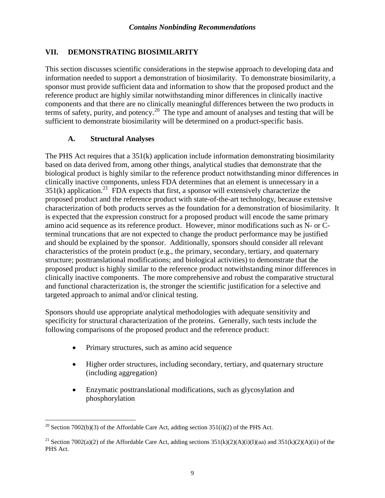## **VII. DEMONSTRATING BIOSIMILARITY**

This section discusses scientific considerations in the stepwise approach to developing data and information needed to support a demonstration of biosimilarity. To demonstrate biosimilarity, a sponsor must provide sufficient data and information to show that the proposed product and the reference product are highly similar notwithstanding minor differences in clinically inactive components and that there are no clinically meaningful differences between the two products in terms of safety, purity, and potency.<sup>[20](#page-11-0)</sup> The type and amount of analyses and testing that will be sufficient to demonstrate biosimilarity will be determined on a product-specific basis.

#### **A. Structural Analyses**

The PHS Act requires that a  $351(k)$  application include information demonstrating biosimilarity based on data derived from, among other things, analytical studies that demonstrate that the biological product is highly similar to the reference product notwithstanding minor differences in clinically inactive components, unless FDA determines that an element is unnecessary in a  $351(k)$  application.<sup>21</sup> FDA expects that first, a sponsor will extensively characterize the proposed product and the reference product with state-of-the-art technology, because extensive characterization of both products serves as the foundation for a demonstration of biosimilarity. It is expected that the expression construct for a proposed product will encode the same primary amino acid sequence as its reference product. However, minor modifications such as N- or Cterminal truncations that are not expected to change the product performance may be justified and should be explained by the sponsor. Additionally, sponsors should consider all relevant characteristics of the protein product (e.g., the primary, secondary, tertiary, and quaternary structure; posttranslational modifications; and biological activities) to demonstrate that the proposed product is highly similar to the reference product notwithstanding minor differences in clinically inactive components. The more comprehensive and robust the comparative structural and functional characterization is, the stronger the scientific justification for a selective and targeted approach to animal and/or clinical testing.

Sponsors should use appropriate analytical methodologies with adequate sensitivity and specificity for structural characterization of the proteins. Generally, such tests include the following comparisons of the proposed product and the reference product:

- Primary structures, such as amino acid sequence
- Higher order structures, including secondary, tertiary, and quaternary structure (including aggregation)
- Enzymatic posttranslational modifications, such as glycosylation and phosphorylation

<span id="page-11-0"></span><sup>&</sup>lt;sup>20</sup> Section 7002(b)(3) of the Affordable Care Act, adding section 351(i)(2) of the PHS Act.

<span id="page-11-1"></span><sup>&</sup>lt;sup>21</sup> Section 7002(a)(2) of the Affordable Care Act, adding sections  $351(k)(2)(A)(i)(I)(aa)$  and  $351(k)(2)(A)(ii)$  of the PHS Act.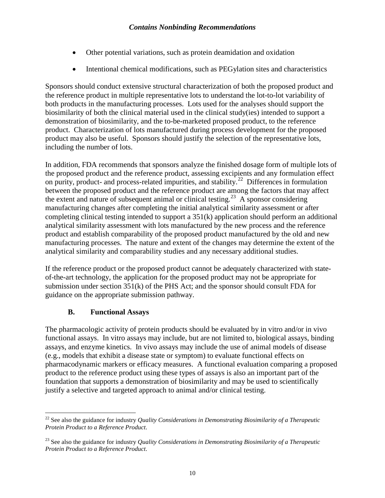- Other potential variations, such as protein deamidation and oxidation
- Intentional chemical modifications, such as PEGylation sites and characteristics

Sponsors should conduct extensive structural characterization of both the proposed product and the reference product in multiple representative lots to understand the lot-to-lot variability of both products in the manufacturing processes. Lots used for the analyses should support the biosimilarity of both the clinical material used in the clinical study(ies) intended to support a demonstration of biosimilarity, and the to-be-marketed proposed product, to the reference product. Characterization of lots manufactured during process development for the proposed product may also be useful. Sponsors should justify the selection of the representative lots, including the number of lots.

In addition, FDA recommends that sponsors analyze the finished dosage form of multiple lots of the proposed product and the reference product, assessing excipients and any formulation effect on purity, product- and process-related impurities, and stability.<sup>22</sup> Differences in formulation between the proposed product and the reference product are among the factors that may affect the extent and nature of subsequent animal or clinical testing.<sup>[23](#page-12-1)</sup> A sponsor considering manufacturing changes after completing the initial analytical similarity assessment or after completing clinical testing intended to support a 351(k) application should perform an additional analytical similarity assessment with lots manufactured by the new process and the reference product and establish comparability of the proposed product manufactured by the old and new manufacturing processes. The nature and extent of the changes may determine the extent of the analytical similarity and comparability studies and any necessary additional studies.

If the reference product or the proposed product cannot be adequately characterized with stateof-the-art technology, the application for the proposed product may not be appropriate for submission under section  $351(k)$  of the PHS Act; and the sponsor should consult FDA for guidance on the appropriate submission pathway.

## **B. Functional Assays**

The pharmacologic activity of protein products should be evaluated by in vitro and/or in vivo functional assays. In vitro assays may include, but are not limited to, biological assays, binding assays, and enzyme kinetics. In vivo assays may include the use of animal models of disease (e.g., models that exhibit a disease state or symptom) to evaluate functional effects on pharmacodynamic markers or efficacy measures. A functional evaluation comparing a proposed product to the reference product using these types of assays is also an important part of the foundation that supports a demonstration of biosimilarity and may be used to scientifically justify a selective and targeted approach to animal and/or clinical testing.

<span id="page-12-0"></span><sup>&</sup>lt;sup>22</sup> See also the guidance for industry *Quality Considerations in Demonstrating Biosimilarity of a Therapeutic Protein Product to a Reference Product*.

<span id="page-12-1"></span><sup>23</sup> See also the guidance for industry *Quality Considerations in Demonstrating Biosimilarity of a Therapeutic Protein Product to a Reference Product*.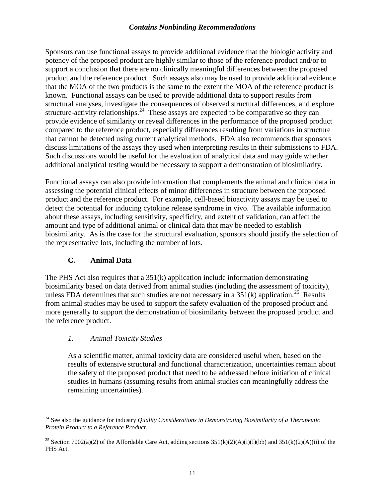Sponsors can use functional assays to provide additional evidence that the biologic activity and potency of the proposed product are highly similar to those of the reference product and/or to support a conclusion that there are no clinically meaningful differences between the proposed product and the reference product. Such assays also may be used to provide additional evidence that the MOA of the two products is the same to the extent the MOA of the reference product is known. Functional assays can be used to provide additional data to support results from structural analyses, investigate the consequences of observed structural differences, and explore structure-activity relationships.<sup>[24](#page-13-0)</sup> These assays are expected to be comparative so they can provide evidence of similarity or reveal differences in the performance of the proposed product compared to the reference product, especially differences resulting from variations in structure that cannot be detected using current analytical methods. FDA also recommends that sponsors discuss limitations of the assays they used when interpreting results in their submissions to FDA. Such discussions would be useful for the evaluation of analytical data and may guide whether additional analytical testing would be necessary to support a demonstration of biosimilarity.

Functional assays can also provide information that complements the animal and clinical data in assessing the potential clinical effects of minor differences in structure between the proposed product and the reference product. For example, cell-based bioactivity assays may be used to detect the potential for inducing cytokine release syndrome in vivo. The available information about these assays, including sensitivity, specificity, and extent of validation, can affect the amount and type of additional animal or clinical data that may be needed to establish biosimilarity. As is the case for the structural evaluation, sponsors should justify the selection of the representative lots, including the number of lots.

#### **C. Animal Data**

The PHS Act also requires that a  $351(k)$  application include information demonstrating biosimilarity based on data derived from animal studies (including the assessment of toxicity), unless FDA determines that such studies are not necessary in a  $351(k)$  application.<sup>[25](#page-13-1)</sup> Results from animal studies may be used to support the safety evaluation of the proposed product and more generally to support the demonstration of biosimilarity between the proposed product and the reference product.

#### *1. Animal Toxicity Studies*

As a scientific matter, animal toxicity data are considered useful when, based on the results of extensive structural and functional characterization, uncertainties remain about the safety of the proposed product that need to be addressed before initiation of clinical studies in humans (assuming results from animal studies can meaningfully address the remaining uncertainties).

<span id="page-13-0"></span><sup>&</sup>lt;sup>24</sup> See also the guidance for industry *Quality Considerations in Demonstrating Biosimilarity of a Therapeutic Protein Product to a Reference Product*.

<span id="page-13-1"></span><sup>&</sup>lt;sup>25</sup> Section 7002(a)(2) of the Affordable Care Act, adding sections  $351(k)(2)(A)(i)(I)(bb)$  and  $351(k)(2)(A)(ii)$  of the PHS Act.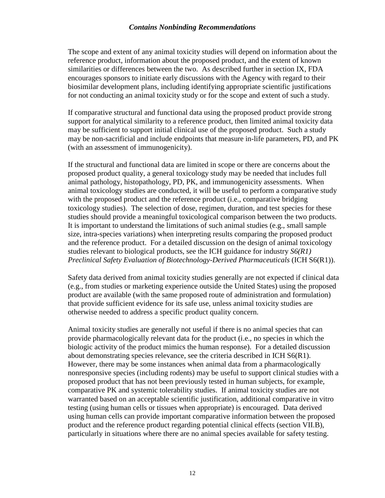The scope and extent of any animal toxicity studies will depend on information about the reference product, information about the proposed product, and the extent of known similarities or differences between the two. As described further in section IX, FDA encourages sponsors to initiate early discussions with the Agency with regard to their biosimilar development plans, including identifying appropriate scientific justifications for not conducting an animal toxicity study or for the scope and extent of such a study.

If comparative structural and functional data using the proposed product provide strong support for analytical similarity to a reference product, then limited animal toxicity data may be sufficient to support initial clinical use of the proposed product. Such a study may be non-sacrificial and include endpoints that measure in-life parameters, PD, and PK (with an assessment of immunogenicity).

If the structural and functional data are limited in scope or there are concerns about the proposed product quality, a general toxicology study may be needed that includes full animal pathology, histopathology, PD, PK, and immunogenicity assessments. When animal toxicology studies are conducted, it will be useful to perform a comparative study with the proposed product and the reference product (i.e., comparative bridging toxicology studies). The selection of dose, regimen, duration, and test species for these studies should provide a meaningful toxicological comparison between the two products. It is important to understand the limitations of such animal studies (e.g., small sample size, intra-species variations) when interpreting results comparing the proposed product and the reference product. For a detailed discussion on the design of animal toxicology studies relevant to biological products, see the ICH guidance for industry *S6(R1) Preclinical Safety Evaluation of Biotechnology-Derived Pharmaceuticals* (ICH S6(R1)).

Safety data derived from animal toxicity studies generally are not expected if clinical data (e.g., from studies or marketing experience outside the United States) using the proposed product are available (with the same proposed route of administration and formulation) that provide sufficient evidence for its safe use, unless animal toxicity studies are otherwise needed to address a specific product quality concern.

Animal toxicity studies are generally not useful if there is no animal species that can provide pharmacologically relevant data for the product (i.e., no species in which the biologic activity of the product mimics the human response). For a detailed discussion about demonstrating species relevance, see the criteria described in ICH S6(R1). However, there may be some instances when animal data from a pharmacologically nonresponsive species (including rodents) may be useful to support clinical studies with a proposed product that has not been previously tested in human subjects, for example, comparative PK and systemic tolerability studies. If animal toxicity studies are not warranted based on an acceptable scientific justification, additional comparative in vitro testing (using human cells or tissues when appropriate) is encouraged. Data derived using human cells can provide important comparative information between the proposed product and the reference product regarding potential clinical effects (section VII.B), particularly in situations where there are no animal species available for safety testing.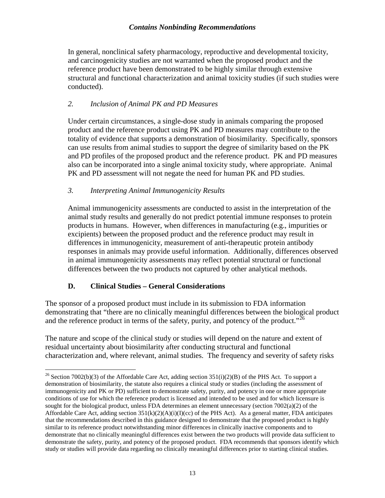In general, nonclinical safety pharmacology, reproductive and developmental toxicity, and carcinogenicity studies are not warranted when the proposed product and the reference product have been demonstrated to be highly similar through extensive structural and functional characterization and animal toxicity studies (if such studies were conducted).

#### *2. Inclusion of Animal PK and PD Measures*

Under certain circumstances, a single-dose study in animals comparing the proposed product and the reference product using PK and PD measures may contribute to the totality of evidence that supports a demonstration of biosimilarity. Specifically, sponsors can use results from animal studies to support the degree of similarity based on the PK and PD profiles of the proposed product and the reference product. PK and PD measures also can be incorporated into a single animal toxicity study, where appropriate. Animal PK and PD assessment will not negate the need for human PK and PD studies.

#### *3. Interpreting Animal Immunogenicity Results*

Animal immunogenicity assessments are conducted to assist in the interpretation of the animal study results and generally do not predict potential immune responses to protein products in humans. However, when differences in manufacturing (e.g., impurities or excipients) between the proposed product and the reference product may result in differences in immunogenicity, measurement of anti-therapeutic protein antibody responses in animals may provide useful information. Additionally, differences observed in animal immunogenicity assessments may reflect potential structural or functional differences between the two products not captured by other analytical methods.

## **D. Clinical Studies – General Considerations**

The sponsor of a proposed product must include in its submission to FDA information demonstrating that "there are no clinically meaningful differences between the biological product and the reference product in terms of the safety, purity, and potency of the product."<sup>[26](#page-15-0)</sup>

The nature and scope of the clinical study or studies will depend on the nature and extent of residual uncertainty about biosimilarity after conducting structural and functional characterization and, where relevant, animal studies. The frequency and severity of safety risks

<span id="page-15-0"></span><sup>&</sup>lt;sup>26</sup> Section 7002(b)(3) of the Affordable Care Act, adding section  $351(i)(2)(B)$  of the PHS Act. To support a demonstration of biosimilarity, the statute also requires a clinical study or studies (including the assessment of immunogenicity and PK or PD) sufficient to demonstrate safety, purity, and potency in one or more appropriate conditions of use for which the reference product is licensed and intended to be used and for which licensure is sought for the biological product, unless FDA determines an element unnecessary (section 7002(a)(2) of the Affordable Care Act, adding section  $351(k)(2)(A)(i)(I)(cc)$  of the PHS Act). As a general matter, FDA anticipates that the recommendations described in this guidance designed to demonstrate that the proposed product is highly similar to its reference product notwithstanding minor differences in clinically inactive components and to demonstrate that no clinically meaningful differences exist between the two products will provide data sufficient to demonstrate the safety, purity, and potency of the proposed product. FDA recommends that sponsors identify which study or studies will provide data regarding no clinically meaningful differences prior to starting clinical studies.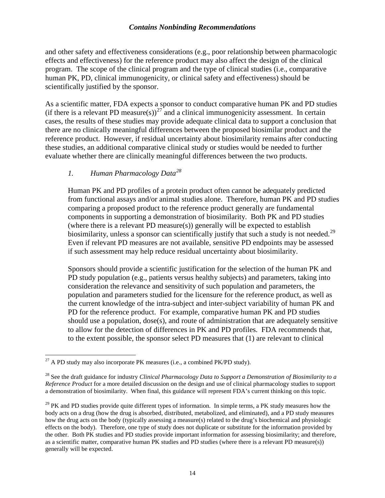and other safety and effectiveness considerations (e.g., poor relationship between pharmacologic effects and effectiveness) for the reference product may also affect the design of the clinical program. The scope of the clinical program and the type of clinical studies (i.e., comparative human PK, PD, clinical immunogenicity, or clinical safety and effectiveness) should be scientifically justified by the sponsor.

As a scientific matter, FDA expects a sponsor to conduct comparative human PK and PD studies (if there is a relevant PD measure(s))<sup>[27](#page-16-0)</sup> and a clinical immunogenicity assessment. In certain cases, the results of these studies may provide adequate clinical data to support a conclusion that there are no clinically meaningful differences between the proposed biosimilar product and the reference product. However, if residual uncertainty about biosimilarity remains after conducting these studies, an additional comparative clinical study or studies would be needed to further evaluate whether there are clinically meaningful differences between the two products.

## *1. Human Pharmacology Data[28](#page-16-1)*

Human PK and PD profiles of a protein product often cannot be adequately predicted from functional assays and/or animal studies alone. Therefore, human PK and PD studies comparing a proposed product to the reference product generally are fundamental components in supporting a demonstration of biosimilarity. Both PK and PD studies (where there is a relevant PD measure(s)) generally will be expected to establish biosimilarity, unless a sponsor can scientifically justify that such a study is not needed.<sup>[29](#page-16-2)</sup> Even if relevant PD measures are not available, sensitive PD endpoints may be assessed if such assessment may help reduce residual uncertainty about biosimilarity.

Sponsors should provide a scientific justification for the selection of the human PK and PD study population (e.g., patients versus healthy subjects) and parameters, taking into consideration the relevance and sensitivity of such population and parameters, the population and parameters studied for the licensure for the reference product, as well as the current knowledge of the intra-subject and inter-subject variability of human PK and PD for the reference product. For example, comparative human PK and PD studies should use a population, dose(s), and route of administration that are adequately sensitive to allow for the detection of differences in PK and PD profiles. FDA recommends that, to the extent possible, the sponsor select PD measures that (1) are relevant to clinical

<span id="page-16-0"></span> $27$  A PD study may also incorporate PK measures (i.e., a combined PK/PD study).

<span id="page-16-1"></span><sup>28</sup> See the draft guidance for industry *Clinical Pharmacology Data to Support a Demonstration of Biosimilarity to a Reference Product* for a more detailed discussion on the design and use of clinical pharmacology studies to support a demonstration of biosimilarity. When final, this guidance will represent FDA's current thinking on this topic.

<span id="page-16-2"></span> $^{29}$  PK and PD studies provide quite different types of information. In simple terms, a PK study measures how the body acts on a drug (how the drug is absorbed, distributed, metabolized, and eliminated), and a PD study measures how the drug acts on the body (typically assessing a measure(s) related to the drug's biochemical and physiologic effects on the body). Therefore, one type of study does not duplicate or substitute for the information provided by the other. Both PK studies and PD studies provide important information for assessing biosimilarity; and therefore, as a scientific matter, comparative human PK studies and PD studies (where there is a relevant PD measure(s)) generally will be expected.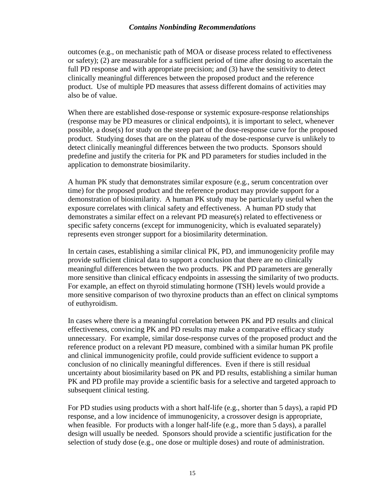outcomes (e.g., on mechanistic path of MOA or disease process related to effectiveness or safety); (2) are measurable for a sufficient period of time after dosing to ascertain the full PD response and with appropriate precision; and (3) have the sensitivity to detect clinically meaningful differences between the proposed product and the reference product. Use of multiple PD measures that assess different domains of activities may also be of value.

When there are established dose-response or systemic exposure-response relationships (response may be PD measures or clinical endpoints), it is important to select, whenever possible, a dose(s) for study on the steep part of the dose-response curve for the proposed product. Studying doses that are on the plateau of the dose-response curve is unlikely to detect clinically meaningful differences between the two products. Sponsors should predefine and justify the criteria for PK and PD parameters for studies included in the application to demonstrate biosimilarity.

A human PK study that demonstrates similar exposure (e.g., serum concentration over time) for the proposed product and the reference product may provide support for a demonstration of biosimilarity. A human PK study may be particularly useful when the exposure correlates with clinical safety and effectiveness. A human PD study that demonstrates a similar effect on a relevant PD measure(s) related to effectiveness or specific safety concerns (except for immunogenicity, which is evaluated separately) represents even stronger support for a biosimilarity determination.

In certain cases, establishing a similar clinical PK, PD, and immunogenicity profile may provide sufficient clinical data to support a conclusion that there are no clinically meaningful differences between the two products. PK and PD parameters are generally more sensitive than clinical efficacy endpoints in assessing the similarity of two products. For example, an effect on thyroid stimulating hormone (TSH) levels would provide a more sensitive comparison of two thyroxine products than an effect on clinical symptoms of euthyroidism.

In cases where there is a meaningful correlation between PK and PD results and clinical effectiveness, convincing PK and PD results may make a comparative efficacy study unnecessary. For example, similar dose-response curves of the proposed product and the reference product on a relevant PD measure, combined with a similar human PK profile and clinical immunogenicity profile, could provide sufficient evidence to support a conclusion of no clinically meaningful differences. Even if there is still residual uncertainty about biosimilarity based on PK and PD results, establishing a similar human PK and PD profile may provide a scientific basis for a selective and targeted approach to subsequent clinical testing.

For PD studies using products with a short half-life (e.g., shorter than 5 days), a rapid PD response, and a low incidence of immunogenicity, a crossover design is appropriate, when feasible. For products with a longer half-life (e.g., more than 5 days), a parallel design will usually be needed. Sponsors should provide a scientific justification for the selection of study dose (e.g., one dose or multiple doses) and route of administration.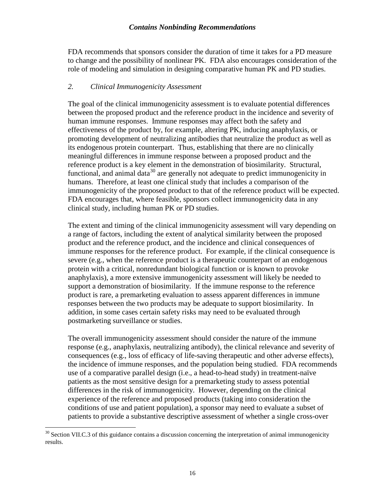FDA recommends that sponsors consider the duration of time it takes for a PD measure to change and the possibility of nonlinear PK. FDA also encourages consideration of the role of modeling and simulation in designing comparative human PK and PD studies.

#### *2. Clinical Immunogenicity Assessment*

The goal of the clinical immunogenicity assessment is to evaluate potential differences between the proposed product and the reference product in the incidence and severity of human immune responses. Immune responses may affect both the safety and effectiveness of the product by, for example, altering PK, inducing anaphylaxis, or promoting development of neutralizing antibodies that neutralize the product as well as its endogenous protein counterpart. Thus, establishing that there are no clinically meaningful differences in immune response between a proposed product and the reference product is a key element in the demonstration of biosimilarity. Structural, functional, and animal data<sup>[30](#page-18-0)</sup> are generally not adequate to predict immunogenicity in humans. Therefore, at least one clinical study that includes a comparison of the immunogenicity of the proposed product to that of the reference product will be expected. FDA encourages that, where feasible, sponsors collect immunogenicity data in any clinical study, including human PK or PD studies.

The extent and timing of the clinical immunogenicity assessment will vary depending on a range of factors, including the extent of analytical similarity between the proposed product and the reference product, and the incidence and clinical consequences of immune responses for the reference product. For example, if the clinical consequence is severe (e.g., when the reference product is a therapeutic counterpart of an endogenous protein with a critical, nonredundant biological function or is known to provoke anaphylaxis), a more extensive immunogenicity assessment will likely be needed to support a demonstration of biosimilarity. If the immune response to the reference product is rare, a premarketing evaluation to assess apparent differences in immune responses between the two products may be adequate to support biosimilarity. In addition, in some cases certain safety risks may need to be evaluated through postmarketing surveillance or studies.

The overall immunogenicity assessment should consider the nature of the immune response (e.g., anaphylaxis, neutralizing antibody), the clinical relevance and severity of consequences (e.g., loss of efficacy of life-saving therapeutic and other adverse effects), the incidence of immune responses, and the population being studied. FDA recommends use of a comparative parallel design (i.e., a head-to-head study) in treatment-naïve patients as the most sensitive design for a premarketing study to assess potential differences in the risk of immunogenicity. However, depending on the clinical experience of the reference and proposed products (taking into consideration the conditions of use and patient population), a sponsor may need to evaluate a subset of patients to provide a substantive descriptive assessment of whether a single cross-over

<span id="page-18-0"></span> $30$  Section VII.C.3 of this guidance contains a discussion concerning the interpretation of animal immunogenicity results.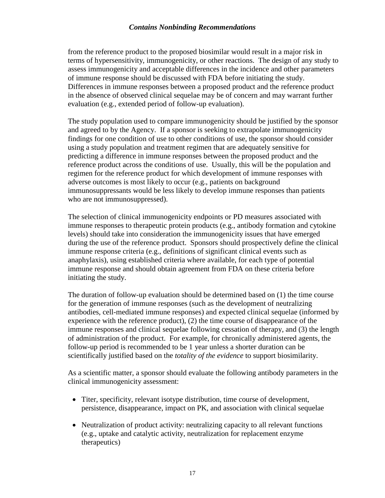from the reference product to the proposed biosimilar would result in a major risk in terms of hypersensitivity, immunogenicity, or other reactions. The design of any study to assess immunogenicity and acceptable differences in the incidence and other parameters of immune response should be discussed with FDA before initiating the study. Differences in immune responses between a proposed product and the reference product in the absence of observed clinical sequelae may be of concern and may warrant further evaluation (e.g., extended period of follow-up evaluation).

The study population used to compare immunogenicity should be justified by the sponsor and agreed to by the Agency. If a sponsor is seeking to extrapolate immunogenicity findings for one condition of use to other conditions of use, the sponsor should consider using a study population and treatment regimen that are adequately sensitive for predicting a difference in immune responses between the proposed product and the reference product across the conditions of use. Usually, this will be the population and regimen for the reference product for which development of immune responses with adverse outcomes is most likely to occur (e.g., patients on background immunosuppressants would be less likely to develop immune responses than patients who are not immunosuppressed).

The selection of clinical immunogenicity endpoints or PD measures associated with immune responses to therapeutic protein products (e.g., antibody formation and cytokine levels) should take into consideration the immunogenicity issues that have emerged during the use of the reference product. Sponsors should prospectively define the clinical immune response criteria (e.g., definitions of significant clinical events such as anaphylaxis), using established criteria where available, for each type of potential immune response and should obtain agreement from FDA on these criteria before initiating the study.

The duration of follow-up evaluation should be determined based on (1) the time course for the generation of immune responses (such as the development of neutralizing antibodies, cell-mediated immune responses) and expected clinical sequelae (informed by experience with the reference product), (2) the time course of disappearance of the immune responses and clinical sequelae following cessation of therapy, and (3) the length of administration of the product. For example, for chronically administered agents, the follow-up period is recommended to be 1 year unless a shorter duration can be scientifically justified based on the *totality of the evidence* to support biosimilarity.

As a scientific matter, a sponsor should evaluate the following antibody parameters in the clinical immunogenicity assessment:

- Titer, specificity, relevant isotype distribution, time course of development, persistence, disappearance, impact on PK, and association with clinical sequelae
- Neutralization of product activity: neutralizing capacity to all relevant functions (e.g., uptake and catalytic activity, neutralization for replacement enzyme therapeutics)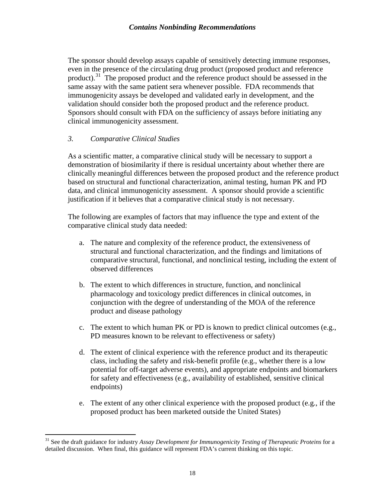The sponsor should develop assays capable of sensitively detecting immune responses, even in the presence of the circulating drug product (proposed product and reference product).<sup>[31](#page-20-0)</sup> The proposed product and the reference product should be assessed in the same assay with the same patient sera whenever possible. FDA recommends that immunogenicity assays be developed and validated early in development, and the validation should consider both the proposed product and the reference product. Sponsors should consult with FDA on the sufficiency of assays before initiating any clinical immunogenicity assessment.

#### *3. Comparative Clinical Studies*

As a scientific matter, a comparative clinical study will be necessary to support a demonstration of biosimilarity if there is residual uncertainty about whether there are clinically meaningful differences between the proposed product and the reference product based on structural and functional characterization, animal testing, human PK and PD data, and clinical immunogenicity assessment. A sponsor should provide a scientific justification if it believes that a comparative clinical study is not necessary.

The following are examples of factors that may influence the type and extent of the comparative clinical study data needed:

- a. The nature and complexity of the reference product, the extensiveness of structural and functional characterization, and the findings and limitations of comparative structural, functional, and nonclinical testing, including the extent of observed differences
- b. The extent to which differences in structure, function, and nonclinical pharmacology and toxicology predict differences in clinical outcomes, in conjunction with the degree of understanding of the MOA of the reference product and disease pathology
- c. The extent to which human PK or PD is known to predict clinical outcomes (e.g., PD measures known to be relevant to effectiveness or safety)
- d. The extent of clinical experience with the reference product and its therapeutic class, including the safety and risk-benefit profile (e.g., whether there is a low potential for off-target adverse events), and appropriate endpoints and biomarkers for safety and effectiveness (e.g., availability of established, sensitive clinical endpoints)
- e. The extent of any other clinical experience with the proposed product (e.g., if the proposed product has been marketed outside the United States)

<span id="page-20-0"></span><sup>&</sup>lt;sup>31</sup> See the draft guidance for industry *Assay Development for Immunogenicity Testing of Therapeutic Proteins* for a detailed discussion. When final, this guidance will represent FDA's current thinking on this topic.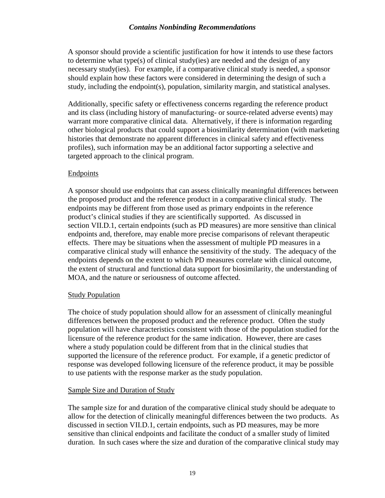A sponsor should provide a scientific justification for how it intends to use these factors to determine what type(s) of clinical study(ies) are needed and the design of any necessary study(ies). For example, if a comparative clinical study is needed, a sponsor should explain how these factors were considered in determining the design of such a study, including the endpoint(s), population, similarity margin, and statistical analyses.

Additionally, specific safety or effectiveness concerns regarding the reference product and its class (including history of manufacturing- or source-related adverse events) may warrant more comparative clinical data. Alternatively, if there is information regarding other biological products that could support a biosimilarity determination (with marketing histories that demonstrate no apparent differences in clinical safety and effectiveness profiles), such information may be an additional factor supporting a selective and targeted approach to the clinical program.

#### Endpoints

A sponsor should use endpoints that can assess clinically meaningful differences between the proposed product and the reference product in a comparative clinical study. The endpoints may be different from those used as primary endpoints in the reference product's clinical studies if they are scientifically supported. As discussed in section VII.D.1, certain endpoints (such as PD measures) are more sensitive than clinical endpoints and, therefore, may enable more precise comparisons of relevant therapeutic effects. There may be situations when the assessment of multiple PD measures in a comparative clinical study will enhance the sensitivity of the study. The adequacy of the endpoints depends on the extent to which PD measures correlate with clinical outcome, the extent of structural and functional data support for biosimilarity, the understanding of MOA, and the nature or seriousness of outcome affected.

#### Study Population

The choice of study population should allow for an assessment of clinically meaningful differences between the proposed product and the reference product. Often the study population will have characteristics consistent with those of the population studied for the licensure of the reference product for the same indication. However, there are cases where a study population could be different from that in the clinical studies that supported the licensure of the reference product. For example, if a genetic predictor of response was developed following licensure of the reference product, it may be possible to use patients with the response marker as the study population.

#### Sample Size and Duration of Study

The sample size for and duration of the comparative clinical study should be adequate to allow for the detection of clinically meaningful differences between the two products. As discussed in section VII.D.1, certain endpoints, such as PD measures, may be more sensitive than clinical endpoints and facilitate the conduct of a smaller study of limited duration. In such cases where the size and duration of the comparative clinical study may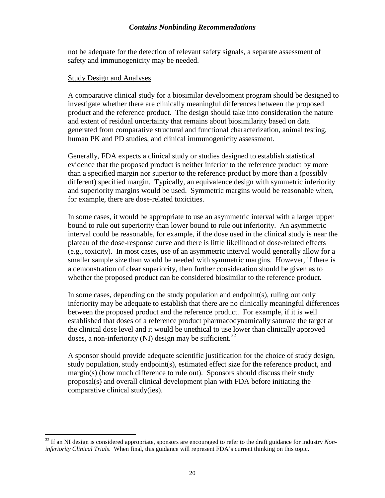not be adequate for the detection of relevant safety signals, a separate assessment of safety and immunogenicity may be needed.

#### Study Design and Analyses

A comparative clinical study for a biosimilar development program should be designed to investigate whether there are clinically meaningful differences between the proposed product and the reference product. The design should take into consideration the nature and extent of residual uncertainty that remains about biosimilarity based on data generated from comparative structural and functional characterization, animal testing, human PK and PD studies, and clinical immunogenicity assessment.

Generally, FDA expects a clinical study or studies designed to establish statistical evidence that the proposed product is neither inferior to the reference product by more than a specified margin nor superior to the reference product by more than a (possibly different) specified margin. Typically, an equivalence design with symmetric inferiority and superiority margins would be used. Symmetric margins would be reasonable when, for example, there are dose-related toxicities.

In some cases, it would be appropriate to use an asymmetric interval with a larger upper bound to rule out superiority than lower bound to rule out inferiority. An asymmetric interval could be reasonable, for example, if the dose used in the clinical study is near the plateau of the dose-response curve and there is little likelihood of dose-related effects (e.g., toxicity). In most cases, use of an asymmetric interval would generally allow for a smaller sample size than would be needed with symmetric margins. However, if there is a demonstration of clear superiority, then further consideration should be given as to whether the proposed product can be considered biosimilar to the reference product.

In some cases, depending on the study population and endpoint(s), ruling out only inferiority may be adequate to establish that there are no clinically meaningful differences between the proposed product and the reference product. For example, if it is well established that doses of a reference product pharmacodynamically saturate the target at the clinical dose level and it would be unethical to use lower than clinically approved doses, a non-inferiority (NI) design may be sufficient.<sup>[32](#page-22-0)</sup>

A sponsor should provide adequate scientific justification for the choice of study design, study population, study endpoint(s), estimated effect size for the reference product, and margin(s) (how much difference to rule out). Sponsors should discuss their study proposal(s) and overall clinical development plan with FDA before initiating the comparative clinical study(ies).

<span id="page-22-0"></span> <sup>32</sup> If an NI design is considered appropriate, sponsors are encouraged to refer to the draft guidance for industry *Noninferiority Clinical Trials*. When final, this guidance will represent FDA's current thinking on this topic.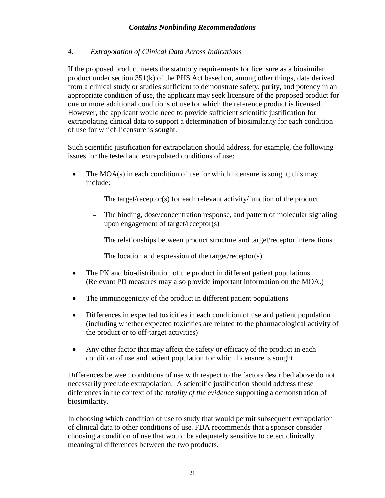#### *4. Extrapolation of Clinical Data Across Indications*

If the proposed product meets the statutory requirements for licensure as a biosimilar product under section 351(k) of the PHS Act based on, among other things, data derived from a clinical study or studies sufficient to demonstrate safety, purity, and potency in an appropriate condition of use, the applicant may seek licensure of the proposed product for one or more additional conditions of use for which the reference product is licensed. However, the applicant would need to provide sufficient scientific justification for extrapolating clinical data to support a determination of biosimilarity for each condition of use for which licensure is sought.

Such scientific justification for extrapolation should address, for example, the following issues for the tested and extrapolated conditions of use:

- The  $MOA(s)$  in each condition of use for which licensure is sought; this may include:
	- The target/receptor(s) for each relevant activity/function of the product
	- The binding, dose/concentration response, and pattern of molecular signaling upon engagement of target/receptor(s)
	- The relationships between product structure and target/receptor interactions
	- The location and expression of the target/receptor(s)
- The PK and bio-distribution of the product in different patient populations (Relevant PD measures may also provide important information on the MOA.)
- The immunogenicity of the product in different patient populations
- Differences in expected toxicities in each condition of use and patient population (including whether expected toxicities are related to the pharmacological activity of the product or to off-target activities)
- Any other factor that may affect the safety or efficacy of the product in each condition of use and patient population for which licensure is sought

Differences between conditions of use with respect to the factors described above do not necessarily preclude extrapolation. A scientific justification should address these differences in the context of the *totality of the evidence* supporting a demonstration of biosimilarity.

In choosing which condition of use to study that would permit subsequent extrapolation of clinical data to other conditions of use, FDA recommends that a sponsor consider choosing a condition of use that would be adequately sensitive to detect clinically meaningful differences between the two products.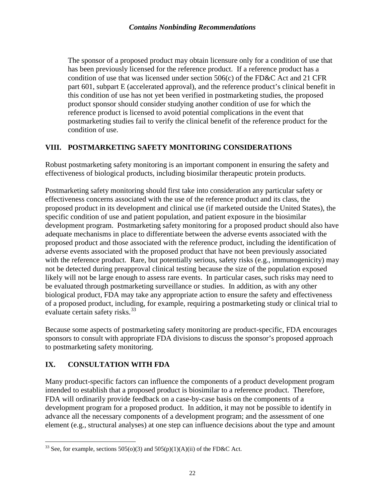The sponsor of a proposed product may obtain licensure only for a condition of use that has been previously licensed for the reference product. If a reference product has a condition of use that was licensed under section  $506(c)$  of the FD&C Act and 21 CFR part 601, subpart E (accelerated approval), and the reference product's clinical benefit in this condition of use has not yet been verified in postmarketing studies, the proposed product sponsor should consider studying another condition of use for which the reference product is licensed to avoid potential complications in the event that postmarketing studies fail to verify the clinical benefit of the reference product for the condition of use.

#### **VIII. POSTMARKETING SAFETY MONITORING CONSIDERATIONS**

Robust postmarketing safety monitoring is an important component in ensuring the safety and effectiveness of biological products, including biosimilar therapeutic protein products.

Postmarketing safety monitoring should first take into consideration any particular safety or effectiveness concerns associated with the use of the reference product and its class, the proposed product in its development and clinical use (if marketed outside the United States), the specific condition of use and patient population, and patient exposure in the biosimilar development program. Postmarketing safety monitoring for a proposed product should also have adequate mechanisms in place to differentiate between the adverse events associated with the proposed product and those associated with the reference product, including the identification of adverse events associated with the proposed product that have not been previously associated with the reference product. Rare, but potentially serious, safety risks (e.g., immunogenicity) may not be detected during preapproval clinical testing because the size of the population exposed likely will not be large enough to assess rare events. In particular cases, such risks may need to be evaluated through postmarketing surveillance or studies. In addition, as with any other biological product, FDA may take any appropriate action to ensure the safety and effectiveness of a proposed product, including, for example, requiring a postmarketing study or clinical trial to evaluate certain safety risks.<sup>[33](#page-24-0)</sup>

Because some aspects of postmarketing safety monitoring are product-specific, FDA encourages sponsors to consult with appropriate FDA divisions to discuss the sponsor's proposed approach to postmarketing safety monitoring.

## **IX. CONSULTATION WITH FDA**

Many product-specific factors can influence the components of a product development program intended to establish that a proposed product is biosimilar to a reference product. Therefore, FDA will ordinarily provide feedback on a case-by-case basis on the components of a development program for a proposed product. In addition, it may not be possible to identify in advance all the necessary components of a development program; and the assessment of one element (e.g., structural analyses) at one step can influence decisions about the type and amount

<span id="page-24-0"></span><sup>&</sup>lt;sup>33</sup> See, for example, sections 505(o)(3) and 505(p)(1)(A)(ii) of the FD&C Act.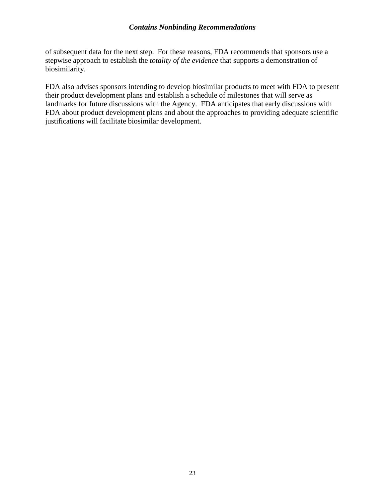of subsequent data for the next step. For these reasons, FDA recommends that sponsors use a stepwise approach to establish the *totality of the evidence* that supports a demonstration of biosimilarity.

FDA also advises sponsors intending to develop biosimilar products to meet with FDA to present their product development plans and establish a schedule of milestones that will serve as landmarks for future discussions with the Agency. FDA anticipates that early discussions with FDA about product development plans and about the approaches to providing adequate scientific justifications will facilitate biosimilar development.